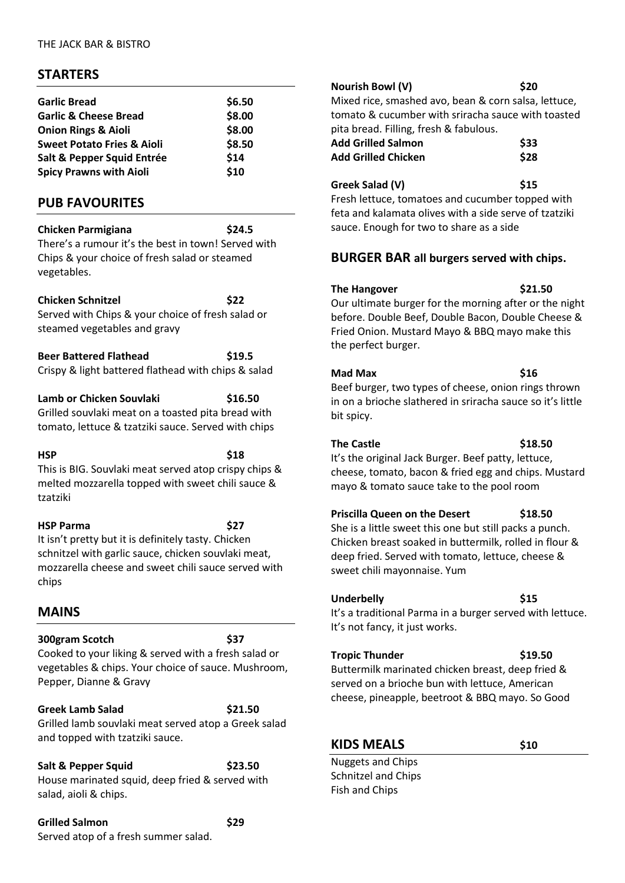## **STARTERS**

| <b>Garlic Bread</b>                   | \$6.50 |
|---------------------------------------|--------|
| <b>Garlic &amp; Cheese Bread</b>      | \$8.00 |
| <b>Onion Rings &amp; Aioli</b>        | \$8.00 |
| <b>Sweet Potato Fries &amp; Aioli</b> | \$8.50 |
| Salt & Pepper Squid Entrée            | \$14   |
| <b>Spicy Prawns with Aioli</b>        | \$10   |
|                                       |        |

## **PUB FAVOURITES**

**Chicken Parmigiana \$24.5**

There's a rumour it's the best in town! Served with Chips & your choice of fresh salad or steamed vegetables.

#### **Chicken Schnitzel \$22**

Served with Chips & your choice of fresh salad or steamed vegetables and gravy

**Beer Battered Flathead \$19.5** Crispy & light battered flathead with chips & salad

#### **Lamb or Chicken Souvlaki \$16.50**

Grilled souvlaki meat on a toasted pita bread with tomato, lettuce & tzatziki sauce. Served with chips

**HSP \$18**

This is BIG. Souvlaki meat served atop crispy chips & melted mozzarella topped with sweet chili sauce & tzatziki

**HSP Parma \$27**

It isn't pretty but it is definitely tasty. Chicken schnitzel with garlic sauce, chicken souvlaki meat, mozzarella cheese and sweet chili sauce served with chips

## **MAINS**

### **300gram Scotch \$37**

Cooked to your liking & served with a fresh salad or vegetables & chips. Your choice of sauce. Mushroom, Pepper, Dianne & Gravy

**Greek Lamb Salad \$21.50** Grilled lamb souvlaki meat served atop a Greek salad and topped with tzatziki sauce.

**Salt & Pepper Squid** \$23.50

House marinated squid, deep fried & served with salad, aioli & chips.

**Grilled Salmon \$29** Served atop of a fresh summer salad.

**Nourish Bowl (V) \$20** Mixed rice, smashed avo, bean & corn salsa, lettuce, tomato & cucumber with sriracha sauce with toasted pita bread. Filling, fresh & fabulous. **Add Grilled Salmon \$33 Add Grilled Chicken \$28**

Greek Salad (V) **\$15** Fresh lettuce, tomatoes and cucumber topped with feta and kalamata olives with a side serve of tzatziki sauce. Enough for two to share as a side

## **BURGER BAR all burgers served with chips.**

#### The Hangover \$21.50

Our ultimate burger for the morning after or the night before. Double Beef, Double Bacon, Double Cheese & Fried Onion. Mustard Mayo & BBQ mayo make this the perfect burger.

### **Mad Max \$16**

Beef burger, two types of cheese, onion rings thrown in on a brioche slathered in sriracha sauce so it's little bit spicy.

### **The Castle \$18.50**

It's the original Jack Burger. Beef patty, lettuce, cheese, tomato, bacon & fried egg and chips. Mustard mayo & tomato sauce take to the pool room

## **Priscilla Queen on the Desert \$18.50**

She is a little sweet this one but still packs a punch. Chicken breast soaked in buttermilk, rolled in flour & deep fried. Served with tomato, lettuce, cheese & sweet chili mayonnaise. Yum

#### Underbelly **\$15**

It's a traditional Parma in a burger served with lettuce. It's not fancy, it just works.

### **Tropic Thunder \$19.50**

Buttermilk marinated chicken breast, deep fried & served on a brioche bun with lettuce, American cheese, pineapple, beetroot & BBQ mayo. So Good

# **KIDS MEALS \$10**

Nuggets and Chips Schnitzel and Chips Fish and Chips